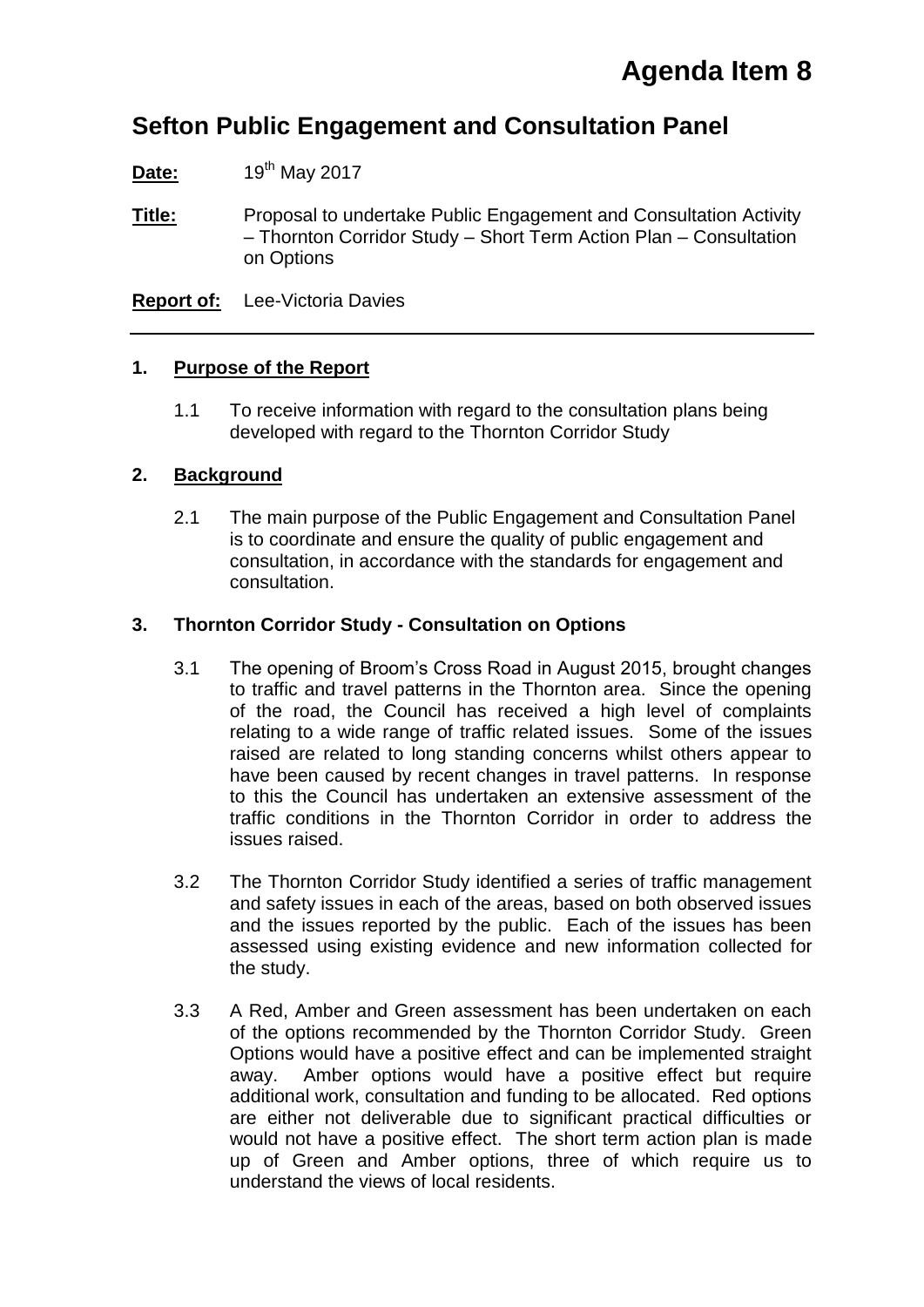### **Sefton Public Engagement and Consultation Panel**

**Date:** 19<sup>th</sup> May 2017

**Title:** Proposal to undertake Public Engagement and Consultation Activity – Thornton Corridor Study – Short Term Action Plan – Consultation on Options

**Report of:** Lee-Victoria Davies

#### **1. Purpose of the Report**

1.1 To receive information with regard to the consultation plans being developed with regard to the Thornton Corridor Study

#### **2. Background**

2.1 The main purpose of the Public Engagement and Consultation Panel is to coordinate and ensure the quality of public engagement and consultation, in accordance with the standards for engagement and consultation.

#### **3. Thornton Corridor Study - Consultation on Options**

- 3.1 The opening of Broom's Cross Road in August 2015, brought changes to traffic and travel patterns in the Thornton area. Since the opening of the road, the Council has received a high level of complaints relating to a wide range of traffic related issues. Some of the issues raised are related to long standing concerns whilst others appear to have been caused by recent changes in travel patterns. In response to this the Council has undertaken an extensive assessment of the traffic conditions in the Thornton Corridor in order to address the issues raised.
- 3.2 The Thornton Corridor Study identified a series of traffic management and safety issues in each of the areas, based on both observed issues and the issues reported by the public. Each of the issues has been assessed using existing evidence and new information collected for the study.
- 3.3 A Red, Amber and Green assessment has been undertaken on each of the options recommended by the Thornton Corridor Study. Green Options would have a positive effect and can be implemented straight away. Amber options would have a positive effect but require additional work, consultation and funding to be allocated. Red options are either not deliverable due to significant practical difficulties or would not have a positive effect. The short term action plan is made up of Green and Amber options, three of which require us to understand the views of local residents.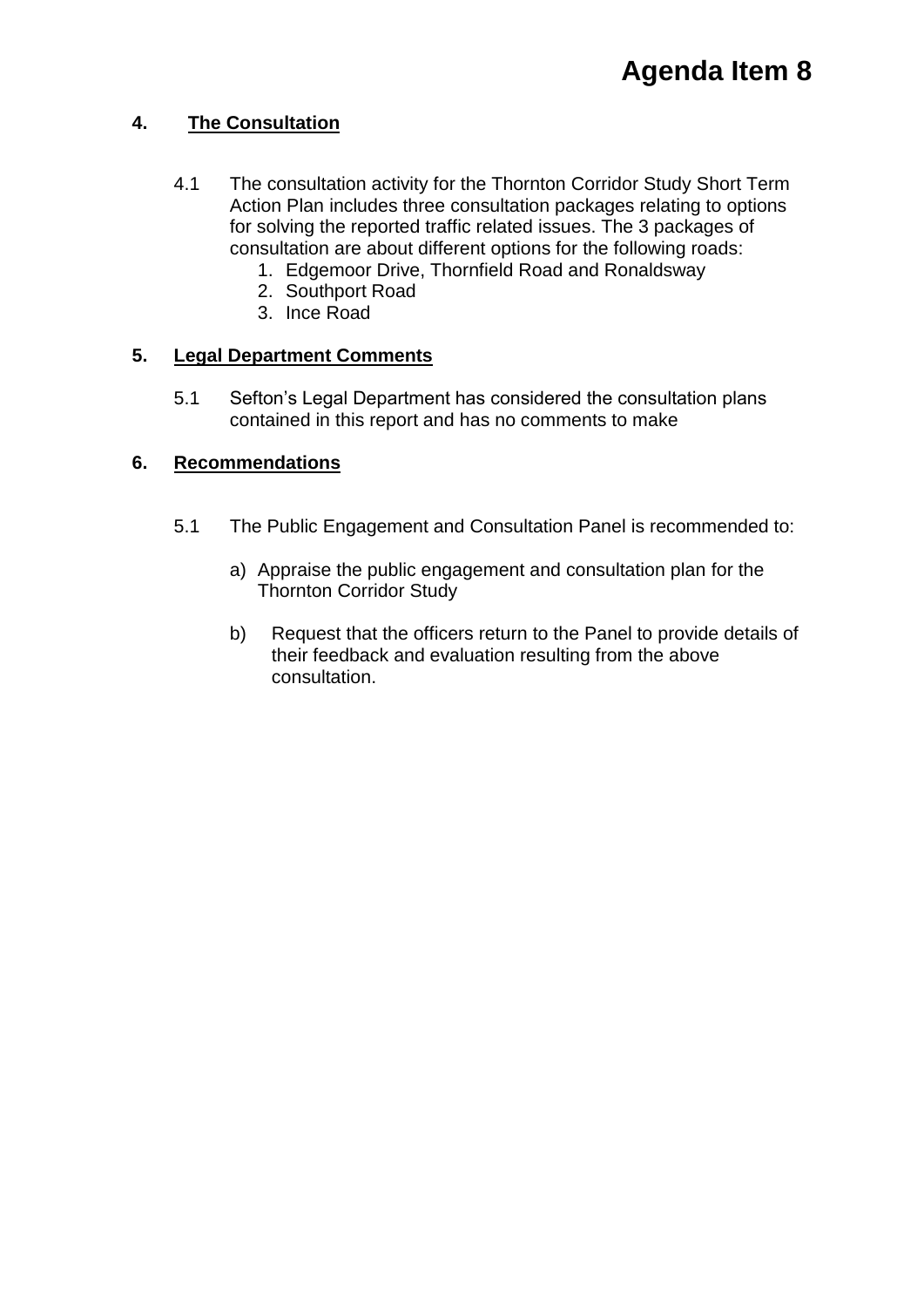#### **4. The Consultation**

- 4.1 The consultation activity for the Thornton Corridor Study Short Term Action Plan includes three consultation packages relating to options for solving the reported traffic related issues. The 3 packages of consultation are about different options for the following roads:
	- 1. Edgemoor Drive, Thornfield Road and Ronaldsway
	- 2. Southport Road
	- 3. Ince Road

#### **5. Legal Department Comments**

5.1 Sefton's Legal Department has considered the consultation plans contained in this report and has no comments to make

#### **6. Recommendations**

- 5.1 The Public Engagement and Consultation Panel is recommended to:
	- a) Appraise the public engagement and consultation plan for the Thornton Corridor Study
	- b) Request that the officers return to the Panel to provide details of their feedback and evaluation resulting from the above consultation.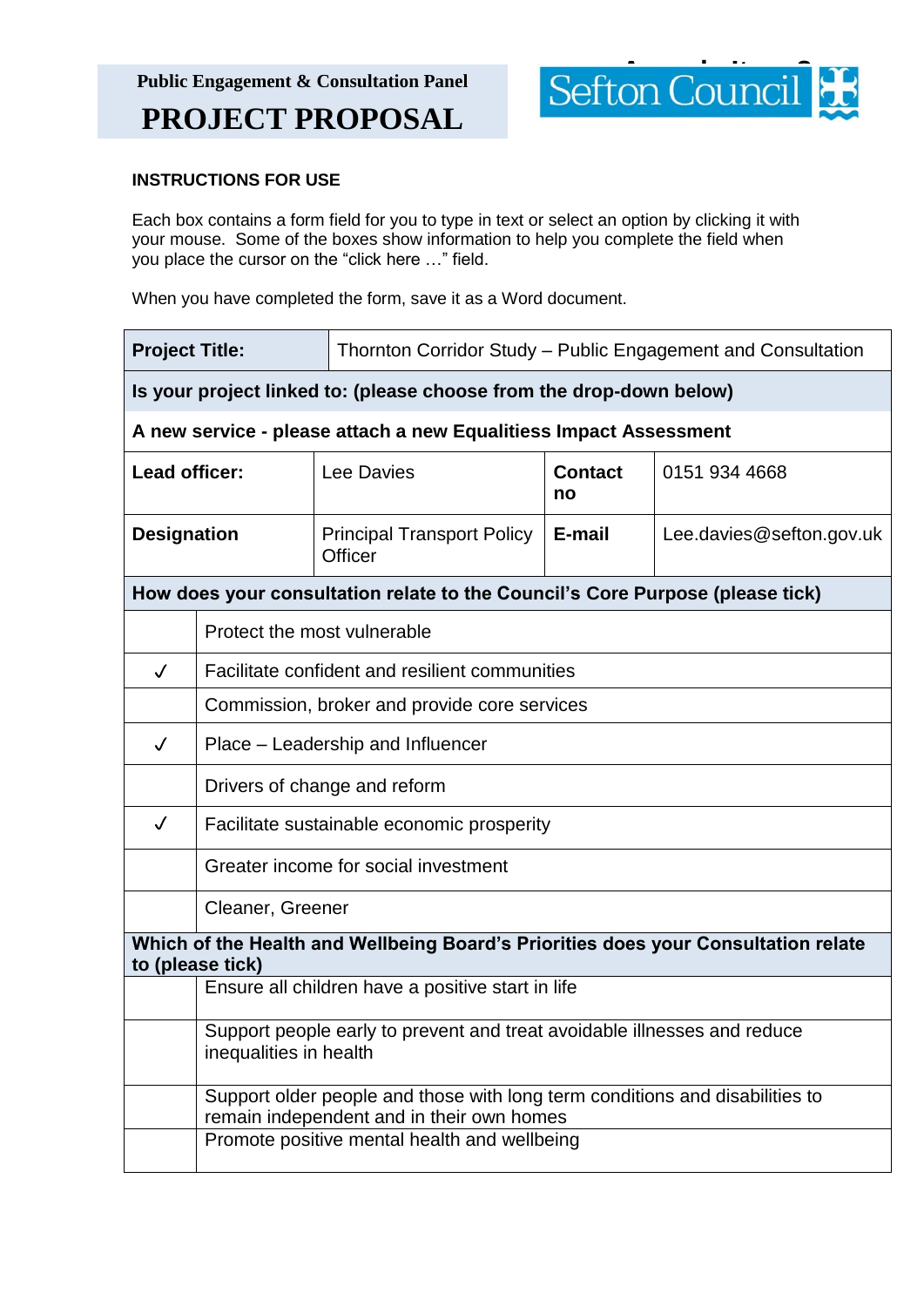

#### **INSTRUCTIONS FOR USE**

Each box contains a form field for you to type in text or select an option by clicking it with your mouse. Some of the boxes show information to help you complete the field when you place the cursor on the "click here …" field.

When you have completed the form, save it as a Word document.

| <b>Project Title:</b>                                                                                  |                                                                                                                           | Thornton Corridor Study - Public Engagement and Consultation                  |                      |                          |
|--------------------------------------------------------------------------------------------------------|---------------------------------------------------------------------------------------------------------------------------|-------------------------------------------------------------------------------|----------------------|--------------------------|
| Is your project linked to: (please choose from the drop-down below)                                    |                                                                                                                           |                                                                               |                      |                          |
|                                                                                                        |                                                                                                                           | A new service - please attach a new Equalitiess Impact Assessment             |                      |                          |
| Lead officer:                                                                                          |                                                                                                                           | Lee Davies                                                                    | <b>Contact</b><br>no | 0151 934 4668            |
| <b>Designation</b>                                                                                     |                                                                                                                           | <b>Principal Transport Policy</b><br>Officer                                  | E-mail               | Lee.davies@sefton.gov.uk |
|                                                                                                        |                                                                                                                           | How does your consultation relate to the Council's Core Purpose (please tick) |                      |                          |
|                                                                                                        | Protect the most vulnerable                                                                                               |                                                                               |                      |                          |
| $\checkmark$                                                                                           | Facilitate confident and resilient communities                                                                            |                                                                               |                      |                          |
|                                                                                                        | Commission, broker and provide core services                                                                              |                                                                               |                      |                          |
| $\checkmark$                                                                                           | Place – Leadership and Influencer                                                                                         |                                                                               |                      |                          |
|                                                                                                        | Drivers of change and reform                                                                                              |                                                                               |                      |                          |
| $\checkmark$                                                                                           | Facilitate sustainable economic prosperity                                                                                |                                                                               |                      |                          |
|                                                                                                        | Greater income for social investment                                                                                      |                                                                               |                      |                          |
|                                                                                                        | Cleaner, Greener                                                                                                          |                                                                               |                      |                          |
| Which of the Health and Wellbeing Board's Priorities does your Consultation relate<br>to (please tick) |                                                                                                                           |                                                                               |                      |                          |
|                                                                                                        | Ensure all children have a positive start in life                                                                         |                                                                               |                      |                          |
|                                                                                                        | Support people early to prevent and treat avoidable illnesses and reduce<br>inequalities in health                        |                                                                               |                      |                          |
|                                                                                                        | Support older people and those with long term conditions and disabilities to<br>remain independent and in their own homes |                                                                               |                      |                          |
|                                                                                                        | Promote positive mental health and wellbeing                                                                              |                                                                               |                      |                          |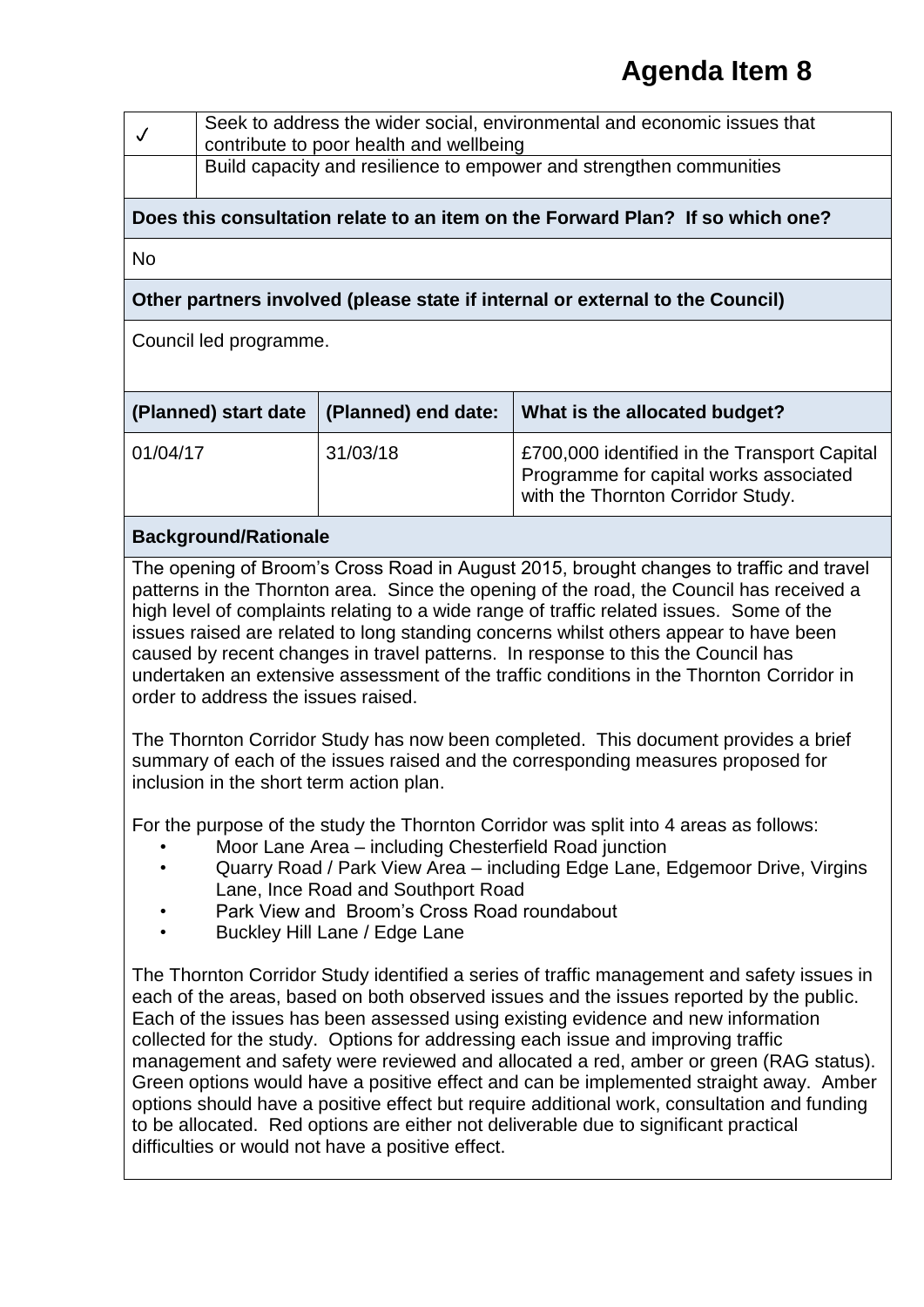| Seek to address the wider social, environmental and economic issues that<br>I contribute to poor health and wellbeing |
|-----------------------------------------------------------------------------------------------------------------------|
| <b>Build capacity and resilience to empower and strengthen communities</b>                                            |

#### **Does this consultation relate to an item on the Forward Plan? If so which one?**

No

#### **Other partners involved (please state if internal or external to the Council)**

Council led programme.

| (Planned) start date $ $ (Planned) end date: |          | What is the allocated budget?                                                                                                      |
|----------------------------------------------|----------|------------------------------------------------------------------------------------------------------------------------------------|
| 01/04/17                                     | 31/03/18 | <b>£700,000 identified in the Transport Capital</b><br>Programme for capital works associated<br>with the Thornton Corridor Study. |

#### **Background/Rationale**

The opening of Broom's Cross Road in August 2015, brought changes to traffic and travel patterns in the Thornton area. Since the opening of the road, the Council has received a high level of complaints relating to a wide range of traffic related issues. Some of the issues raised are related to long standing concerns whilst others appear to have been caused by recent changes in travel patterns. In response to this the Council has undertaken an extensive assessment of the traffic conditions in the Thornton Corridor in order to address the issues raised.

The Thornton Corridor Study has now been completed. This document provides a brief summary of each of the issues raised and the corresponding measures proposed for inclusion in the short term action plan.

For the purpose of the study the Thornton Corridor was split into 4 areas as follows:

- Moor Lane Area including Chesterfield Road junction
- Quarry Road / Park View Area including Edge Lane, Edgemoor Drive, Virgins Lane, Ince Road and Southport Road
- Park View and Broom's Cross Road roundabout
- Buckley Hill Lane / Edge Lane

The Thornton Corridor Study identified a series of traffic management and safety issues in each of the areas, based on both observed issues and the issues reported by the public. Each of the issues has been assessed using existing evidence and new information collected for the study. Options for addressing each issue and improving traffic management and safety were reviewed and allocated a red, amber or green (RAG status). Green options would have a positive effect and can be implemented straight away. Amber options should have a positive effect but require additional work, consultation and funding to be allocated. Red options are either not deliverable due to significant practical difficulties or would not have a positive effect.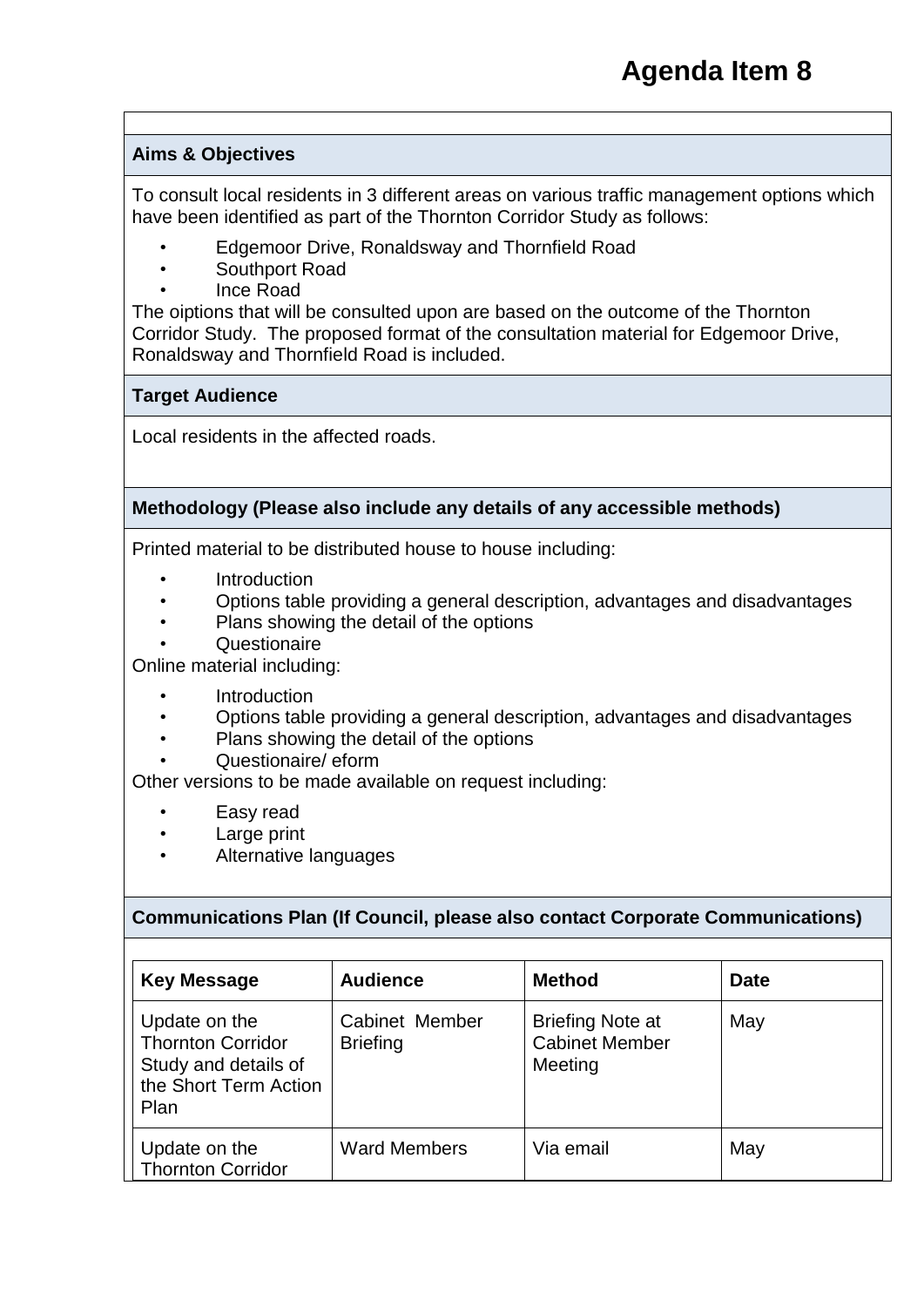#### **Aims & Objectives**

To consult local residents in 3 different areas on various traffic management options which have been identified as part of the Thornton Corridor Study as follows:

- Edgemoor Drive, Ronaldsway and Thornfield Road
- Southport Road
- Ince Road

The oiptions that will be consulted upon are based on the outcome of the Thornton Corridor Study. The proposed format of the consultation material for Edgemoor Drive, Ronaldsway and Thornfield Road is included.

#### **Target Audience**

Local residents in the affected roads.

#### **Methodology (Please also include any details of any accessible methods)**

Printed material to be distributed house to house including:

- **Introduction**
- Options table providing a general description, advantages and disadvantages
- Plans showing the detail of the options
- Questionaire

Online material including:

- **Introduction**
- Options table providing a general description, advantages and disadvantages
- Plans showing the detail of the options
- Questionaire/ eform

Other versions to be made available on request including:

- Easy read
- Large print
- Alternative languages

#### **Communications Plan (If Council, please also contact Corporate Communications)**

| <b>Key Message</b>                                                                                 | <b>Audience</b>                   | <b>Method</b>                                               | <b>Date</b> |
|----------------------------------------------------------------------------------------------------|-----------------------------------|-------------------------------------------------------------|-------------|
| Update on the<br><b>Thornton Corridor</b><br>Study and details of<br>the Short Term Action<br>Plan | Cabinet Member<br><b>Briefing</b> | <b>Briefing Note at</b><br><b>Cabinet Member</b><br>Meeting | May         |
| Update on the<br><b>Thornton Corridor</b>                                                          | <b>Ward Members</b>               | Via email                                                   | May         |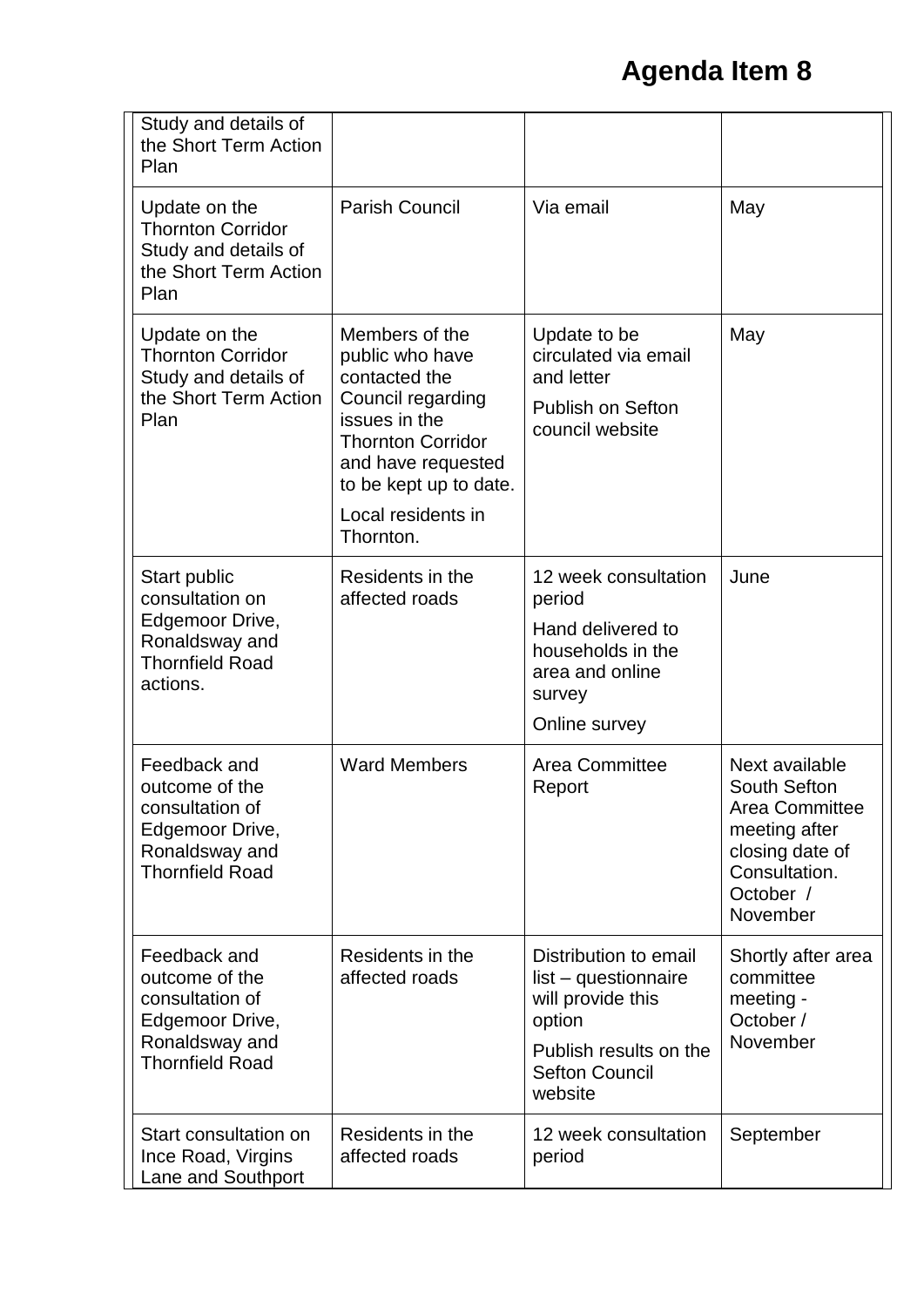| Study and details of<br>the Short Term Action<br>Plan                                                            |                                                                                                                                                                                                         |                                                                                                                                            |                                                                                                                                |
|------------------------------------------------------------------------------------------------------------------|---------------------------------------------------------------------------------------------------------------------------------------------------------------------------------------------------------|--------------------------------------------------------------------------------------------------------------------------------------------|--------------------------------------------------------------------------------------------------------------------------------|
| Update on the<br><b>Thornton Corridor</b><br>Study and details of<br>the Short Term Action<br>Plan               | <b>Parish Council</b>                                                                                                                                                                                   | Via email                                                                                                                                  | May                                                                                                                            |
| Update on the<br><b>Thornton Corridor</b><br>Study and details of<br>the Short Term Action<br>Plan               | Members of the<br>public who have<br>contacted the<br>Council regarding<br>issues in the<br><b>Thornton Corridor</b><br>and have requested<br>to be kept up to date.<br>Local residents in<br>Thornton. | Update to be<br>circulated via email<br>and letter<br><b>Publish on Sefton</b><br>council website                                          | May                                                                                                                            |
| Start public<br>consultation on<br>Edgemoor Drive,<br>Ronaldsway and<br><b>Thornfield Road</b><br>actions.       | Residents in the<br>affected roads                                                                                                                                                                      | 12 week consultation<br>period<br>Hand delivered to<br>households in the<br>area and online<br>survey<br>Online survey                     | June                                                                                                                           |
| Feedback and<br>outcome of the<br>consultation of<br>Edgemoor Drive,<br>Ronaldsway and<br><b>Thornfield Road</b> | <b>Ward Members</b>                                                                                                                                                                                     | Area Committee<br>Report                                                                                                                   | Next available<br>South Sefton<br>Area Committee<br>meeting after<br>closing date of<br>Consultation.<br>October /<br>November |
| Feedback and<br>outcome of the<br>consultation of<br>Edgemoor Drive,<br>Ronaldsway and<br><b>Thornfield Road</b> | Residents in the<br>affected roads                                                                                                                                                                      | Distribution to email<br>list - questionnaire<br>will provide this<br>option<br>Publish results on the<br><b>Sefton Council</b><br>website | Shortly after area<br>committee<br>meeting -<br>October /<br>November                                                          |
| Start consultation on<br>Ince Road, Virgins<br>Lane and Southport                                                | Residents in the<br>affected roads                                                                                                                                                                      | 12 week consultation<br>period                                                                                                             | September                                                                                                                      |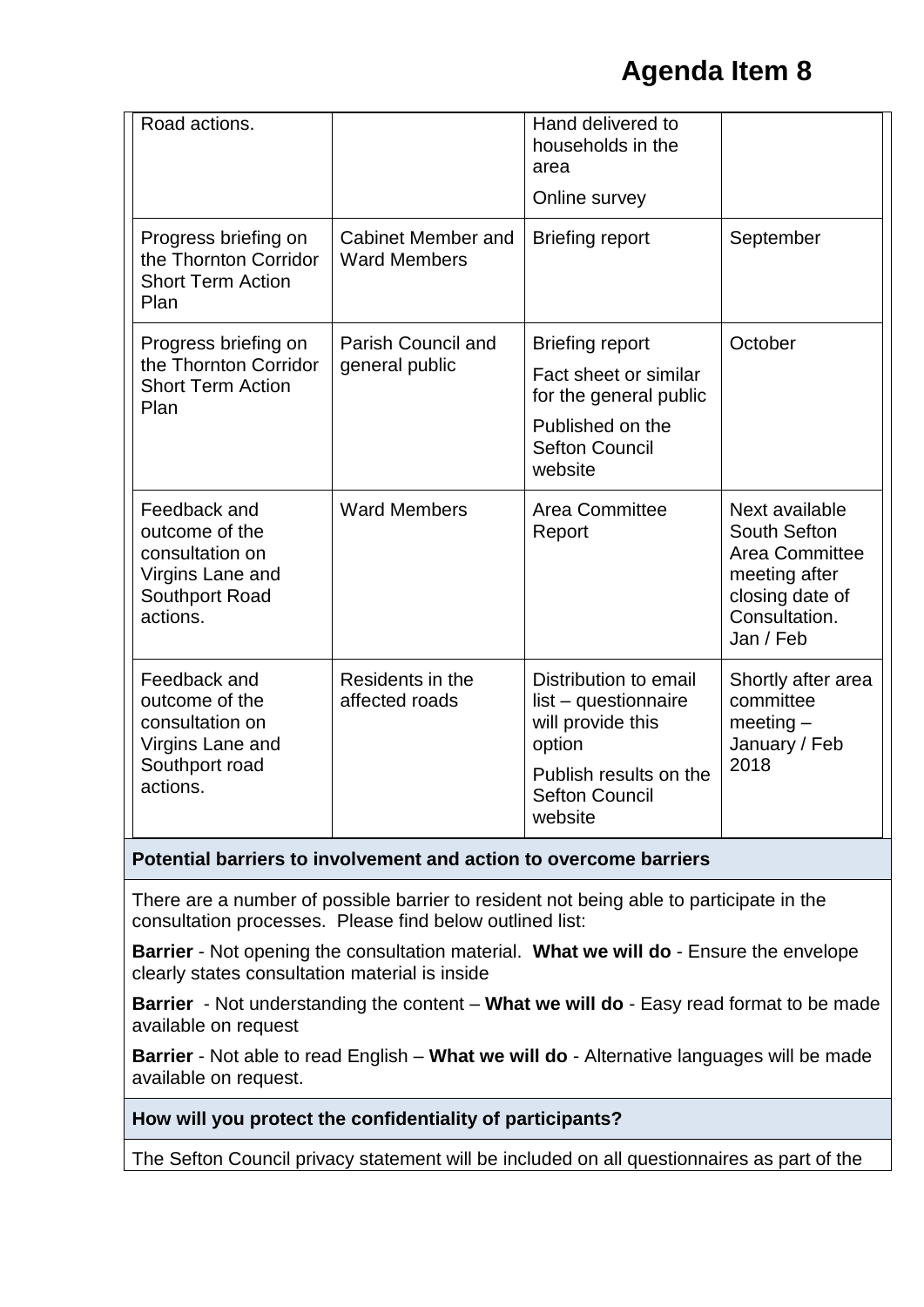| Road actions.                                                                                       |                                                  | Hand delivered to<br>households in the<br>area<br>Online survey                                                                            |                                                                                                                           |
|-----------------------------------------------------------------------------------------------------|--------------------------------------------------|--------------------------------------------------------------------------------------------------------------------------------------------|---------------------------------------------------------------------------------------------------------------------------|
| Progress briefing on<br>the Thornton Corridor<br><b>Short Term Action</b><br>Plan                   | <b>Cabinet Member and</b><br><b>Ward Members</b> | <b>Briefing report</b>                                                                                                                     | September                                                                                                                 |
| Progress briefing on<br><b>Parish Council and</b>                                                   |                                                  | <b>Briefing report</b>                                                                                                                     | October                                                                                                                   |
| the Thornton Corridor<br><b>Short Term Action</b><br>Plan                                           | general public                                   | Fact sheet or similar<br>for the general public                                                                                            |                                                                                                                           |
|                                                                                                     |                                                  | Published on the<br><b>Sefton Council</b><br>website                                                                                       |                                                                                                                           |
| Feedback and<br>outcome of the<br>consultation on<br>Virgins Lane and<br>Southport Road<br>actions. | <b>Ward Members</b>                              | Area Committee<br>Report                                                                                                                   | Next available<br>South Sefton<br><b>Area Committee</b><br>meeting after<br>closing date of<br>Consultation.<br>Jan / Feb |
| Feedback and<br>outcome of the<br>consultation on<br>Virgins Lane and<br>Southport road<br>actions. | Residents in the<br>affected roads               | Distribution to email<br>list - questionnaire<br>will provide this<br>option<br>Publish results on the<br><b>Sefton Council</b><br>website | Shortly after area<br>committee<br>$meeting-$<br>January / Feb<br>2018                                                    |

#### **Potential barriers to involvement and action to overcome barriers**

There are a number of possible barrier to resident not being able to participate in the consultation processes. Please find below outlined list:

**Barrier** - Not opening the consultation material. **What we will do** - Ensure the envelope clearly states consultation material is inside

**Barrier** - Not understanding the content – **What we will do** - Easy read format to be made available on request

**Barrier** - Not able to read English – **What we will do** - Alternative languages will be made available on request.

**How will you protect the confidentiality of participants?** 

The Sefton Council privacy statement will be included on all questionnaires as part of the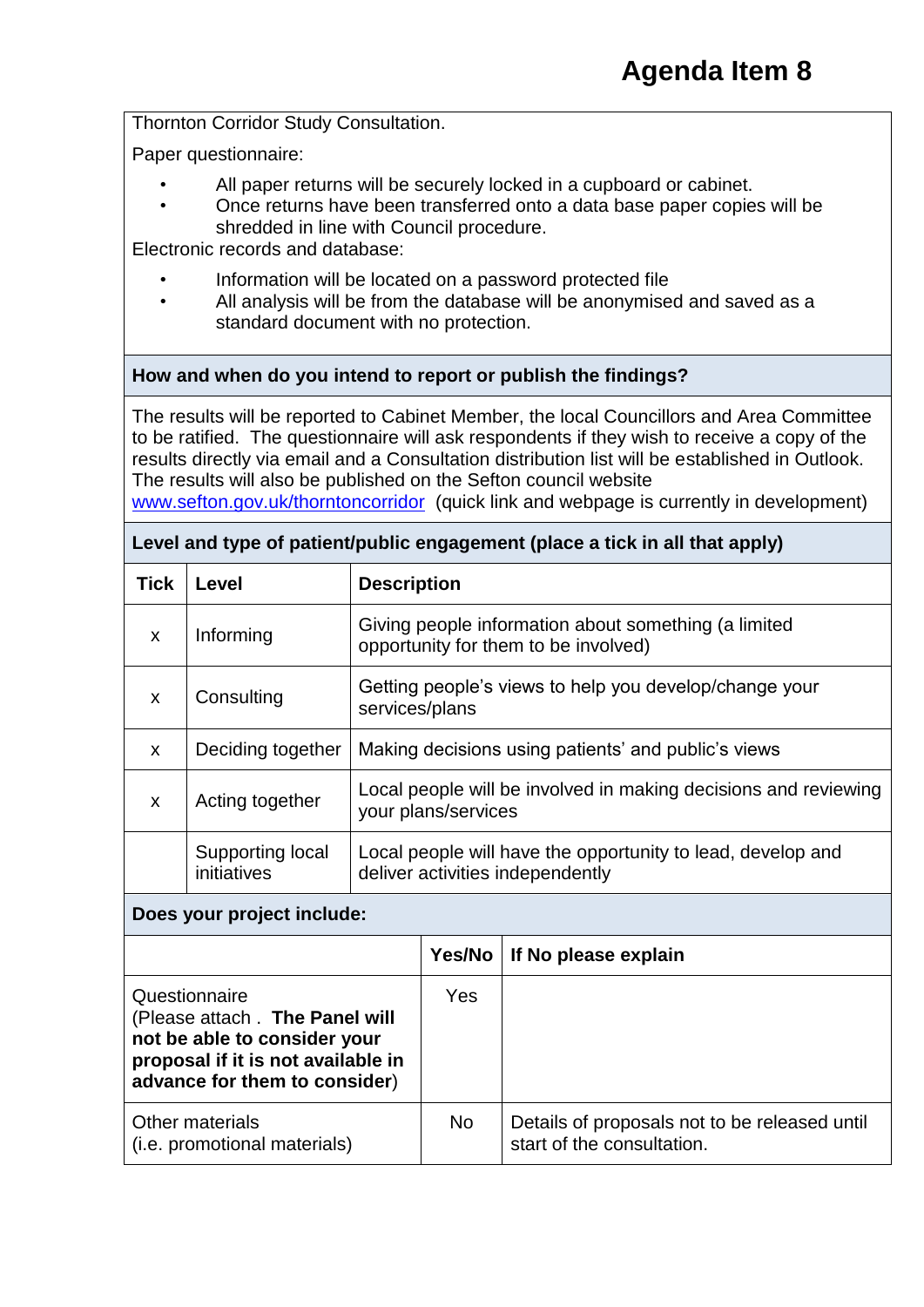Thornton Corridor Study Consultation.

Paper questionnaire:

- All paper returns will be securely locked in a cupboard or cabinet.
- Once returns have been transferred onto a data base paper copies will be shredded in line with Council procedure.

Electronic records and database:

- Information will be located on a password protected file
- All analysis will be from the database will be anonymised and saved as a standard document with no protection.

#### **How and when do you intend to report or publish the findings?**

The results will be reported to Cabinet Member, the local Councillors and Area Committee to be ratified. The questionnaire will ask respondents if they wish to receive a copy of the results directly via email and a Consultation distribution list will be established in Outlook. The results will also be published on the Sefton council website [www.sefton.gov.uk/thorntoncorridor](http://www.sefton.gov.uk/thorntoncorridor) (quick link and webpage is currently in development)

| <b>Tick</b>  | Level                           | <b>Description</b>                                                                              |
|--------------|---------------------------------|-------------------------------------------------------------------------------------------------|
| $\mathbf x$  | Informing                       | Giving people information about something (a limited<br>opportunity for them to be involved)    |
| $\mathbf x$  | Consulting                      | Getting people's views to help you develop/change your<br>services/plans                        |
| $\mathsf{x}$ | Deciding together               | Making decisions using patients' and public's views                                             |
| X            | Acting together                 | Local people will be involved in making decisions and reviewing<br>your plans/services          |
|              | Supporting local<br>initiatives | Local people will have the opportunity to lead, develop and<br>deliver activities independently |

#### **Level and type of patient/public engagement (place a tick in all that apply)**

#### **Does your project include:**

|                                                                                                                                                         | Yes/No     | If No please explain                                                        |
|---------------------------------------------------------------------------------------------------------------------------------------------------------|------------|-----------------------------------------------------------------------------|
| Questionnaire<br>(Please attach . The Panel will<br>not be able to consider your<br>proposal if it is not available in<br>advance for them to consider) | <b>Yes</b> |                                                                             |
| Other materials<br>(i.e. promotional materials)                                                                                                         | <b>No</b>  | Details of proposals not to be released until<br>start of the consultation. |